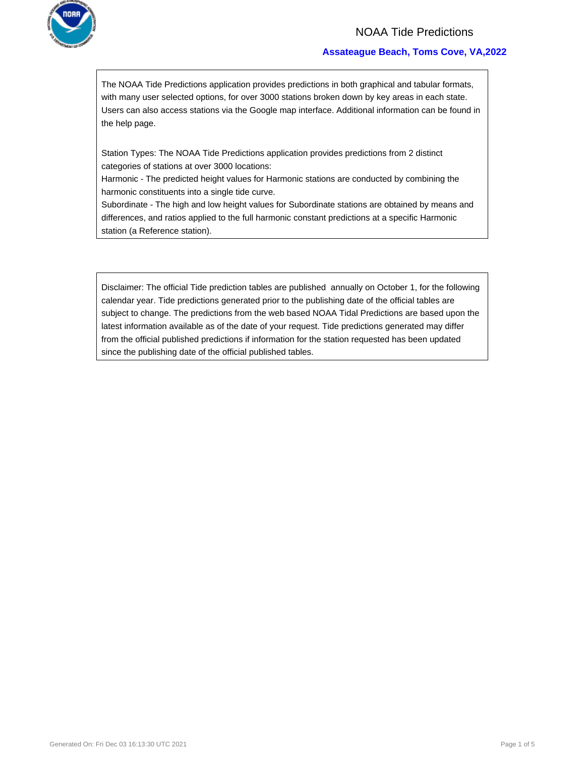

## NOAA Tide Predictions

### **Assateague Beach, Toms Cove, VA,2022**

The NOAA Tide Predictions application provides predictions in both graphical and tabular formats, with many user selected options, for over 3000 stations broken down by key areas in each state. Users can also access stations via the Google map interface. Additional information can be found in the help page.

Station Types: The NOAA Tide Predictions application provides predictions from 2 distinct categories of stations at over 3000 locations:

Harmonic - The predicted height values for Harmonic stations are conducted by combining the harmonic constituents into a single tide curve.

Subordinate - The high and low height values for Subordinate stations are obtained by means and differences, and ratios applied to the full harmonic constant predictions at a specific Harmonic station (a Reference station).

Disclaimer: The official Tide prediction tables are published annually on October 1, for the following calendar year. Tide predictions generated prior to the publishing date of the official tables are subject to change. The predictions from the web based NOAA Tidal Predictions are based upon the latest information available as of the date of your request. Tide predictions generated may differ from the official published predictions if information for the station requested has been updated since the publishing date of the official published tables.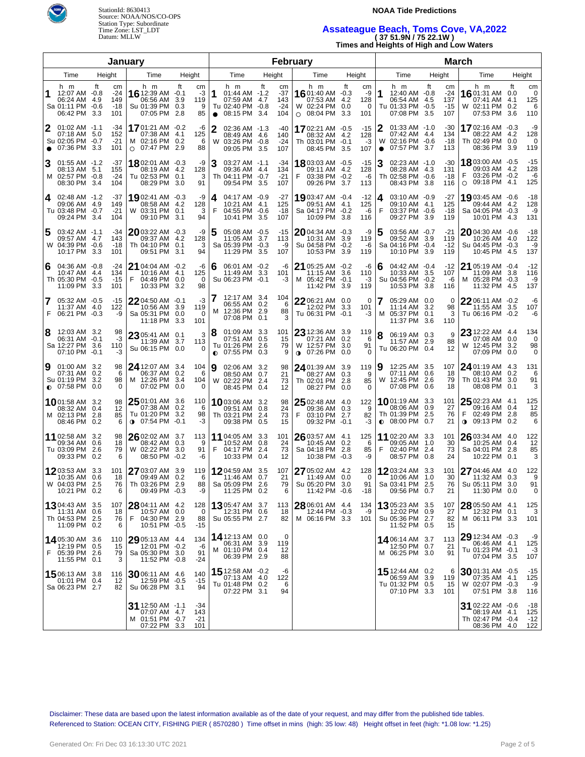

StationId: 8630413 **NOAA Tide Predictions**  Source: NOAA/NOS/CO-OPS Station Type: Subordinate

# Time Zone: LST\_LDT **Assateague Beach, Toms Cove, VA,2022**  Datum: MLLW **( 37 51.9N / 75 22.1W )**

**Times and Heights of High and Low Waters** 

|                |                                                                      | January                                              | February            |                                                                        |                             |                                |                |                                                                           |    |                                  |    | <b>March</b>                                                          |              |                          |                              |                |                                                                             |                   |                                  |                  |                                                                      |                                |                                      |
|----------------|----------------------------------------------------------------------|------------------------------------------------------|---------------------|------------------------------------------------------------------------|-----------------------------|--------------------------------|----------------|---------------------------------------------------------------------------|----|----------------------------------|----|-----------------------------------------------------------------------|--------------|--------------------------|------------------------------|----------------|-----------------------------------------------------------------------------|-------------------|----------------------------------|------------------|----------------------------------------------------------------------|--------------------------------|--------------------------------------|
|                | Time                                                                 | Height                                               |                     | Time                                                                   |                             | Height                         |                | Time                                                                      |    | Height                           |    | Time                                                                  |              |                          | Height                       |                | Time                                                                        |                   | Height                           |                  | Time                                                                 |                                | Height                               |
|                | h m<br>12:07 AM -0.8<br>06:24 AM<br>Sa 01:11 PM -0.6<br>06:42 PM     | ft<br>cm<br>$-24$<br>149<br>4.9<br>-18<br>3.3<br>101 |                     | h m<br>16 12:39 AM -0.1<br>06:56 AM<br>Su 01:39 PM<br>07:05 PM         | ft<br>3.9<br>0.3<br>2.8     | cm<br>-3<br>119<br>9<br>85     | 1<br>$\bullet$ | h m<br>01:44 AM -1.2<br>07:59 AM 4.7<br>Tu 02:40 PM -0.8<br>08:15 PM 3.4  | ft | cm<br>-37<br>143<br>$-24$<br>104 |    | h m<br>16 01:40 AM -0.3<br>07:53 AM<br>W 02:24 PM<br>$\circ$ 08:04 PM |              | ft<br>4.2<br>0.0<br>3.3  | cm<br>-9<br>128<br>0<br>101  | 1              | h m<br>12:40 AM -0.8<br>06:54 AM<br>Tu 01:33 PM -0.5<br>07:08 PM            | ft<br>-4.5<br>3.5 | cm<br>-24<br>137<br>$-15$<br>107 |                  | h m<br>16 01:31 AM<br>07:41 AM<br>W 02:11 PM<br>07:53 PM             | ft<br>0.0<br>4.1<br>0.2<br>3.6 | cm<br>$\mathbf 0$<br>125<br>6<br>110 |
| 2<br>$\bullet$ | $01:02$ AM $-1.1$<br>07:18 AM<br>Su 02:05 PM -0.7<br>07:36 PM        | -34<br>152<br>5.0<br>$-21$<br>3.3<br>101             |                     | 1701:21 AM -0.2<br>07:38 AM<br>M 02:16 PM 0.2<br>$\circ$ 07:47 PM 2.9  | 4.1                         | -6<br>125<br>6<br>88           | 2              | 02:36 AM -1.3<br>08:49 AM 4.6<br>W 03:26 PM -0.8<br>09:05 PM 3.5          |    | -40<br>140<br>$-24$<br>107       |    | 1702:21 AM -0.5<br>Th 03:01 PM<br>08:45 PM                            | 08:32 AM 4.2 | $-0.1$<br>3.5            | $-15$<br>128<br>-3<br>107    | 2<br>$\bullet$ | $01:33$ AM $-1.0$<br>07:42 AM 4.4<br>W 02:16 PM -0.6<br>07:57 PM 3.7        |                   | -30<br>134<br>$-18$<br>113       |                  | 1702:16 AM -0.3<br>08:22 AM<br>Th 02:49 PM<br>08:36 PM               | 4.2<br>0.0<br>3.9              | -9<br>128<br>0<br>119                |
| 3              | $01:55$ AM $-1.2$<br>08:13 AM 5.1<br>M 02:57 PM -0.8<br>08:30 PM     | -37<br>155<br>$-24$<br>104<br>3.4                    |                     | <b>18</b> 02:01 AM -0.3<br>08:19 AM 4.2<br>Tu 02:53 PM 0.1<br>08:29 PM | 3.0                         | -9<br>128<br>3<br>91           | 3              | 03:27 AM -1.1<br>09:36 AM 4.4<br>Th 04:11 PM -0.7<br>09:54 PM 3.5         |    | -34<br>134<br>$-21$<br>107       |    | 18 03:03 AM -0.5<br>03:38 PM<br>09:26 PM                              | 09:11 AM     | 4.2<br>$-0.2$<br>3.7     | $-15$<br>128<br>-6<br>113    |                | 02:23 AM -1.0<br>08:28 AM 4.3<br>Th 02:58 PM -0.6<br>08:43 PM               | 3.8               | -30<br>131<br>$-18$<br>116       | O                | 18 03:00 AM -0.5<br>09:03 AM 4.2<br>03:26 PM -0.2<br>09:18 PM 4.1    |                                | $-15$<br>128<br>-6<br>125            |
| 4              | 02:48 AM -1.2<br>09:06 AM 4.9<br>Tu 03:48 PM -0.7<br>09:24 PM        | -37<br>149<br>$-21$<br>3.4<br>104                    |                     | 1902:41 AM -0.3<br>08:58 AM 4.2<br>W 03:31 PM 0.1<br>09:10 PM          | 3.1                         | -9<br>128<br>3<br>94           | 4<br>F         | 04:17 AM -0.9<br>10:21 AM 4.1<br>04:55 PM -0.6<br>10:41 PM 3.5            |    | -27<br>125<br>$-18$<br>107       |    | 1903:47 AM -0.4<br>Sa 04:17 PM<br>10:09 PM                            | 09:51 AM     | 4.1<br>$-0.2$<br>3.8     | $-12$<br>125<br>-6<br>116    | 4<br>F         | 03:10 AM -0.9<br>09:10 AM 4.1<br>03:37 PM -0.6<br>09:27 PM                  | 3.9               | -27<br>125<br>-18<br>119         |                  | 19 03:45 AM -0.6<br>09:44 AM 4.2<br>Sa 04:05 PM -0.3<br>10:01 PM 4.3 |                                | $-18$<br>128<br>-9<br>131            |
| 5              | 03:42 AM -1.1<br>09:57 AM 4.7<br>W 04:39 PM -0.6<br>10:17 PM         | -34<br>143<br>$-18$<br>3.3<br>101                    |                     | $2003:22$ AM $-0.3$<br>09:37 AM 4.2<br>Th 04:10 PM 0.1<br>09:51 PM     | 3.1                         | -9<br>128<br>3<br>94           | 5              | 05:08 AM -0.5<br>11:05 AM 3.7<br>Sa 05:39 PM -0.3<br>11:29 PM 3.5         |    | -15<br>113<br>-9<br>107          |    | 2004:34 AM -0.3<br>10:31 AM<br>Su 04:58 PM<br>10:53 PM                |              | 3.9<br>$-0.2$<br>3.9     | -9<br>119<br>-6<br>119       | 5              | 03:56 AM -0.7<br>09:52 AM 3.9<br>Sa 04:16 PM -0.4<br>10:10 PM               | 3.9               | $-21$<br>119<br>$-12$<br>119     |                  | 2004:30 AM -0.6<br>10:26 AM 4.0<br>Su 04:45 PM -0.3<br>10:45 PM 4.5  |                                | $-18$<br>122<br>-9<br>137            |
| 6              | 04:36 AM -0.8<br>10:47 AM 4.4<br>Th 05:30 PM -0.5<br>11:09 PM        | $-24$<br>134<br>$-15$<br>3.3<br>101                  | F                   | <b>21</b> 04:04 AM -0.2<br>10:16 AM 4.1<br>04:49 PM<br>10:33 PM        | 0.0<br>3.2                  | -6<br>125<br>0<br>98           | 6              | 06:01 AM -0.2<br>11:49 AM 3.3<br>Su 06:23 PM -0.1                         |    | -6<br>101<br>-3                  |    | 21 05:25 AM -0.2<br>11:15 AM<br>M 05:42 PM<br>11:42 PM                |              | 3.6<br>$-0.1$<br>3.9     | -6<br>110<br>-3<br>119       | 6              | 04:42 AM -0.4<br>10:33 AM 3.5<br>Su 04:56 PM -0.2<br>10:53 PM               | 3.8               | -12<br>107<br>-6<br>116          |                  | 21 05:19 AM -0.4<br>11:09 AM<br>M 05:28 PM -0.3<br>11:32 PM 4.5      | 3.8                            | $-12$<br>116<br>-9<br>137            |
| F              | 05:32 AM -0.5<br>11:37 AM 4.0<br>06:21 PM -0.3                       | -15<br>122                                           | -9                  | $22$ 04:50 AM -0.1<br>10:56 AM 3.9<br>Sa 05:31 PM<br>11:18 PM          | 0.0<br>3.3                  | $-3$<br>119<br>$\Omega$<br>101 |                | 12:17 AM 3.4<br>06:55 AM 0.2<br>M 12:36 PM 2.9<br>07:08 PM 0.1            |    | 104<br>6<br>88<br>3              |    | 22 06:21 AM 0.0<br>12:02 PM<br>Tu 06:31 PM -0.1                       |              | 3.3                      | 0<br>101<br>-3               |                | 05:29 AM 0.0<br>11:14 AM 3.2<br>M 05:37 PM<br>11:37 PM                      | 0.1<br>3.6        | 0<br>98<br>3<br>110              |                  | $22$ 06:11 AM $\,$ -0.2 $\,$<br>11:55 AM 3.5<br>Tu 06:16 PM -0.2     |                                | -6<br>107<br>-6                      |
| 8              | 12:03 AM 3.2<br>06:31 AM -0.1<br>Sa 12:27 PM<br>07:10 PM             | 3.6<br>110<br>$-0.1$                                 | 98<br>-3<br>-3      | 23 05:41 AM 0.1<br>11:39 AM 3.7<br>Su 06:15 PM 0.0                     |                             | 3<br>113<br>$\Omega$           | 8<br>$\bullet$ | 01:09 AM 3.3<br>07:51 AM 0.5<br>Tu 01:26 PM 2.6<br>07:55 PM 0.3           |    | 101<br>15<br>79<br>9             |    | $23$ 12:36 AM<br>07:21 AM<br>W 12:57 PM<br>$0.07:26 \text{ PM}$       |              | 3.9<br>0.2<br>3.0<br>0.0 | 119<br>6<br>91<br>0          |                | 06:19 AM 0.3<br>11:57 AM 2.9<br>Tu 06:20 PM 0.4                             |                   | 9<br>88<br>12                    |                  | 23 12:22 AM 4.4<br>07:08 AM<br>W 12:45 PM<br>07:09 PM                | 0.0<br>3.2<br>0.0              | 134<br>$\mathbf 0$<br>98<br>0        |
| 9              | 01:00 AM 3.2<br>07:31 AM<br>Su 01:19 PM<br>$O$ 07:58 PM              | 0.2<br>3.2<br>0.0                                    | 98<br>6<br>98<br>0  | <b>24</b> 12:07 AM<br>06:37 AM 0.2<br>M 12:26 PM<br>07:02 PM           | 3.4<br>3.4<br>0.0           | 104<br>6<br>104<br>0           | 19             | 02:06 AM 3.2<br>08:50 AM 0.7<br>W 02:22 PM 2.4<br>08:45 PM 0.4            |    | 98<br>21<br>73<br>12             |    | <b>24</b> 01:39 AM<br>08:27 AM<br>Th 02:01 PM<br>08:27 PM 0.0         |              | 3.9<br>0.3<br>2.8        | 119<br>9<br>85<br>0          | 9              | 12:25 AM 3.5<br>07:11 AM 0.6<br>W 12:45 PM<br>07:08 PM                      | 2.6<br>0.6        | 107<br>18<br>79<br>18            |                  | 24 01:19 AM<br>08:10 AM<br>Th 01:43 PM<br>08:08 PM                   | 4.3<br>0.2<br>3.0<br>0.1       | 131<br>6<br>91<br>3                  |
|                | <b>10</b> 01:58 AM 3.2<br>08:32 AM 0.4<br>M 02:13 PM<br>08:46 PM 0.2 | -2.8                                                 | 98<br>12<br>85<br>6 | 2501:01 AM<br>07:38 AM<br>Tu 01:20 PM<br>$0$ 07:54 PM                  | 3.6<br>0.2<br>3.2<br>$-0.1$ | 110<br>6<br>98<br>-3           |                | <b>10</b> 03:06 AM 3.2<br>09:51 AM 0.8<br>Th 03:21 PM 2.4<br>09:38 PM 0.5 |    | 98<br>24<br>73<br>15             | F. | $25$ 02:48 AM 4.0<br>09:36 AM 0.3<br>03:10 PM<br>09:32 PM -0.1        |              | 2.7                      | 122<br>9<br>82<br>-3         |                | <b>10</b> 01:19 AM 3.3<br>08:06 AM 0.9<br>Th 01:39 PM<br>$\bullet$ 08:00 PM | 2.5<br>0.7        | 101<br>27<br>76<br>21            | F<br>$\mathbf 0$ | 25 02:23 AM 4.1<br>09:16 AM 0.4<br>02:49 PM<br>09:13 PM              | 2.8<br>0.2                     | 125<br>12<br>85<br>6                 |
|                | 11 02:58 AM 3.2<br>09:34 AM 0.6<br>Tu 03:09 PM<br>09:33 PM 0.2       | -2.6                                                 | 98<br>18<br>79<br>6 | 26 02:02 AM 3.7<br>08:42 AM 0.3<br>W 02:22 PM<br>08:50 PM -0.2         | 3.0                         | 113<br>9<br>91<br>-6           | F              | 11 04:05 AM 3.3<br>10:52 AM 0.8<br>04:17 PM 2.4<br>10:33 PM 0.4           |    | 101<br>24<br>73<br>12            |    | $26$ 03:57 AM 4.1<br>10:45 AM 0.2<br>Sa 04:18 PM<br>10:38 PM -0.3     |              | -2.8                     | 125<br>6<br>85<br>-9         | F              | 11 02:20 AM 3.3<br>09:05 AM 1.0<br>02:40 PM 2.4<br>08:57 PM 0.8             |                   | 101<br>30<br>73<br>24            |                  | $26$ 03:34 AM 4.0<br>10:25 AM 0.4<br>Sa 04:01 PM 2.8<br>10:22 PM 0.1 |                                | 122<br>12<br>85<br>3                 |
|                | 1203:53 AM 3.3<br>10:35 AM<br>W 04:03 PM 2.5<br>10:21 PM 0.2         | 101<br>0.6                                           | 18<br>76<br>6       | 27 03:07 AM<br>09:49 AM 0.2<br>Th 03:26 PM 2.9<br>09:49 PM -0.3        | 3.9                         | 119<br>6<br>88<br>-9           |                | 1204:59 AM 3.5<br>11:46 AM 0.7<br>Sa 05:09 PM 2.6<br>11:25 PM 0.2         |    | 107<br>21<br>79<br>6             |    | 27 05:02 AM 4.2<br>11:49 AM<br>Su 05:20 PM 3.0<br>11:42 PM -0.6       |              | 0.0                      | 128<br>$\Omega$<br>91<br>-18 |                | 1203:24 AM 3.3<br>10:06 AM<br>Sa 03:41 PM 2.5<br>09:56 PM 0.7               | 1.0               | 101<br>30<br>76<br>21            |                  | 27 04:46 AM 4.0<br>11:32 AM 0.3<br>Su 05:11 PM 3.0<br>11:30 PM 0.0   |                                | 122<br>9<br>91<br>0                  |
|                | 1304:43 AM 3.5<br>11:31 AM 0.6<br>Th 04:53 PM 2.5<br>11:09 PM 0.2    | 107                                                  | 18<br>F.<br>76<br>6 | 28 04:11 AM 4.2<br>10:57 AM 0.0<br>04:30 PM 2.9<br>10:51 PM -0.5       |                             | 128<br>0<br>88<br>-15          |                | 1305:47 AM 3.7<br>12:31 PM 0.6<br>Su 05:55 PM 2.7                         |    | 113<br>18<br>82                  |    | 28 06:01 AM 4.4<br>12:44 PM -0.3<br>M 06:16 PM 3.3                    |              |                          | 134<br>-9<br>101             |                | 1305:23 AM 3.5<br>12:02 PM 0.9<br>Su 05:36 PM 2.7<br>11:52 PM 0.5           |                   | 107<br>27<br>82<br>15            |                  | 28 05:50 AM 4.1<br>12:32 PM 0.1<br>M 06:11 PM 3.3                    |                                | 125<br>3<br>101                      |
| F              | 14 05:30 AM 3.6<br>12:19 PM 0.5<br>05:39 PM 2.6<br>11:55 PM 0.1      | 110                                                  | 15<br>79<br>3       | 29 05:13 AM 4.4<br>12:01 PM -0.2<br>Sa 05:30 PM 3.0<br>11:52 PM -0.8   |                             | 134<br>$-6$<br>91<br>-24       |                | 14 12:13 AM 0.0<br>06:31 AM 3.9<br>M 01:10 PM 0.4<br>06:39 PM 2.9         |    | 0<br>119<br>12<br>88             |    |                                                                       |              |                          |                              |                | <b>14</b> 06:14 AM 3.7<br>12:50 PM 0.7<br>M 06:25 PM 3.0                    |                   | 113<br>21<br>91                  |                  | 29 12:34 AM -0.3<br>06:46 AM 4.1<br>Tu 01:23 PM -0.1<br>07:04 PM 3.5 |                                | -9<br>125<br>$-3$<br>107             |
|                | 1506:13 AM 3.8<br>01:01 PM 0.4<br>Sa 06:23 PM 2.7                    | 116                                                  | 12<br>82            | 30 06:11 AM 4.6<br>12:59 PM -0.5<br>Su 06:28 PM 3.1                    |                             | 140<br>$-15$<br>94             |                | 15 12:58 AM -0.2<br>07:13 AM 4.0<br>Tu 01:48 PM 0.2<br>07:22 PM 3.1       |    | -6<br>122<br>6<br>94             |    |                                                                       |              |                          |                              |                | 15 12:44 AM 0.2<br>06:59 AM 3.9<br>Tu 01:32 PM 0.5<br>07:10 PM 3.3          |                   | 6<br>119<br>15<br>101            |                  | 3001:31 AM -0.5<br>07:35 AM 4.1<br>W 02:07 PM -0.3<br>07:51 PM 3.8   |                                | $-15$<br>125<br>-9<br>116            |
|                |                                                                      |                                                      |                     | 31 12:50 AM -1.1<br>07:07 AM 4.7<br>M 01:51 PM -0.7<br>07:22 PM 3.3    |                             | -34<br>143<br>-21<br>101       |                |                                                                           |    |                                  |    |                                                                       |              |                          |                              |                |                                                                             |                   |                                  |                  | 31 02:22 AM -0.6<br>08:19 AM 4.1<br>Th 02:47 PM -0.4<br>08:36 PM 4.0 |                                | -18<br>125<br>-12<br>122             |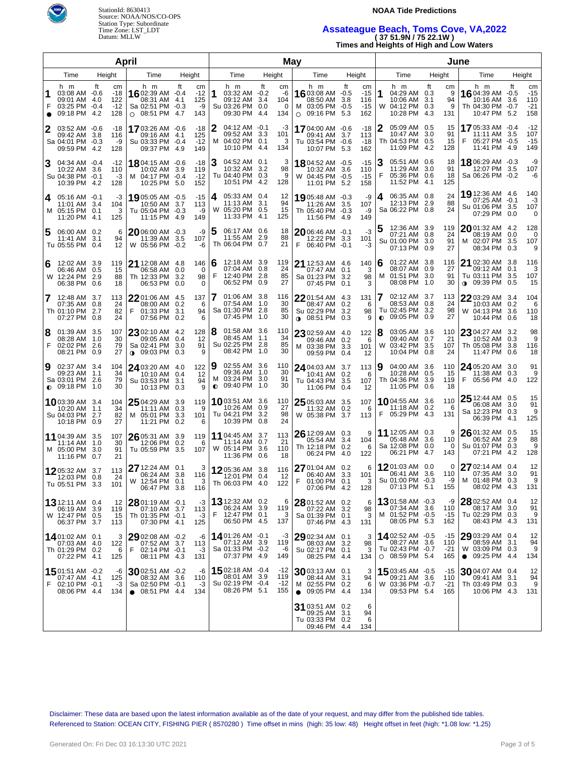



## Assateague Beach, Toms Cove, VA,2022

| Datum: MLLW | (3751.9N/7522.1W)                        |
|-------------|------------------------------------------|
|             | Times and Heights of High and Low Waters |

|                |                                                                          |                                        | April                                                                               |                                       |        |                                                                           | May |                                    | June                                                                           |                   |                                    |        |                                                                             |        |                              |                                                                                      |        |                                    |
|----------------|--------------------------------------------------------------------------|----------------------------------------|-------------------------------------------------------------------------------------|---------------------------------------|--------|---------------------------------------------------------------------------|-----|------------------------------------|--------------------------------------------------------------------------------|-------------------|------------------------------------|--------|-----------------------------------------------------------------------------|--------|------------------------------|--------------------------------------------------------------------------------------|--------|------------------------------------|
| Time<br>Height |                                                                          |                                        | Time                                                                                | Height                                |        | Time                                                                      |     | Height                             | Time                                                                           | Height            |                                    |        | Time                                                                        | Height |                              | Time                                                                                 | Height |                                    |
| $\bullet$      | h m<br>03:08 AM -0.6<br>09:01 AM 4.0<br>03:25 PM -0.4<br>09:18 PM 4.2    | ft<br>cm<br>-18<br>122<br>$-12$<br>128 | h m<br>16 02:39 AM -0.4<br>08:31 AM 4.1<br>Sa 02:51 PM -0.3<br>$\circ$ 08:51 PM 4.7 | ft<br>cm<br>$-12$<br>125<br>-9<br>143 | 1      | h m<br>03:32 AM -0.2<br>09:12 AM 3.4<br>Su 03:26 PM 0.0<br>09:30 PM 4.4   | ft  | cm<br>-6<br>104<br>$\Omega$<br>134 | h m<br>16 03:08 AM -0.5<br>08:50 AM<br>M 03:05 PM -0.5<br>$\circ$ 09:16 PM 5.3 | ft<br>3.8         | cm<br>$-15$<br>116<br>$-15$<br>162 | 1      | h m<br>04:29 AM 0.3<br>10:06 AM 3.1<br>W 04:12 PM 0.3<br>10:28 PM 4.3       | ft     | cm<br>9<br>94<br>9<br>131    | h m<br><b>16</b> 04:39 AM $-0.5$<br>10:16 AM 3.6<br>Th 04:30 PM -0.7<br>10:47 PM 5.2 | ft     | cm<br>$-15$<br>110<br>$-21$<br>158 |
| 2              | 03:52 AM -0.6<br>09:42 AM<br>Sa 04:01 PM -0.3<br>09:59 PM 4.2            | -18<br>3.8<br>116<br>-9<br>128         | 1703:26 AM -0.6<br>09:16 AM 4.1<br>Su 03:33 PM -0.4<br>09:37 PM 4.9                 | -18<br>125<br>$-12$<br>149            | 2      | $04:12$ AM $-0.1$<br>09:52 AM 3.3<br>M 04:02 PM 0.1<br>10:10 PM 4.4       |     | -3<br>101<br>3<br>134              | 17 04:00 AM -0.6<br>09:41 AM<br>Tu 03:54 PM -0.6<br>10:07 PM 5.3               | 3.7               | -18<br>113<br>-18<br>162           | 2      | 05:09 AM 0.5<br>10:47 AM 3.0<br>Th 04:53 PM 0.5<br>11:09 PM 4.2             |        | 15<br>91<br>15<br>128        | 1705:33 AM -0.4<br>11:11 AM 3.5<br>F<br>05:27 PM -0.5<br>11:41 PM 4.9                |        | $-12$<br>107<br>$-15$<br>149       |
| 3              | 04:34 AM -0.4<br>10:22 AM<br>Su 04:38 PM -0.1<br>10:39 PM 4.2            | $-12$<br>3.6<br>110<br>-3<br>128       | 1804:15 AM -0.6<br>10:02 AM 3.9<br>M 04:17 PM -0.4<br>10:25 PM 5.0                  | $-18$<br>119<br>$-12$<br>152          | З      | 04:52 AM 0.1<br>10:32 AM 3.2<br>Tu 04:40 PM 0.3<br>10:51 PM 4.2           |     | 3<br>98<br>9<br>128                | $1804:52$ AM $-0.5$<br>10:32 AM<br>W 04:45 PM -0.5<br>11:01 PM 5.2             | 3.6               | $-15$<br>110<br>$-15$<br>158       | 3      | 05:51 AM 0.6<br>11:29 AM 3.0<br>05:36 PM 0.6<br>11:52 PM 4.1                |        | 18<br>91<br>18<br>125        | 18 06:29 AM -0.3<br>12:07 PM 3.5<br>Sa 06:26 PM -0.2                                 |        | -9<br>107<br>-6                    |
| 4              | 05:16 AM -0.1<br>11:01 AM 3.4<br>M 05:15 PM 0.1<br>11:20 PM 4.1          | -3<br>104<br>125                       | 1905:05 AM -0.5<br>10:50 AM 3.7<br>3<br>Tu 05:04 PM -0.3<br>11:15 PM 4.9            | $-15$<br>113<br>-9<br>149             | 4      | 05:33 AM 0.4<br>11:13 AM 3.1<br>W 05:20 PM 0.5<br>11:33 PM 4.1            |     | 12<br>94<br>15<br>125              | 1905:48 AM -0.3<br>11:26 AM<br>Th 05:40 PM -0.3<br>11:56 PM 4.9                | 3.5               | -9<br>107<br>-9<br>149             | 4      | 06:35 AM 0.8<br>12:13 PM 2.9<br>Sa 06:22 PM 0.8                             |        | 24<br>88<br>24               | 19 12:36 AM 4.6<br>07:25 AM -0.1<br>Su 01:06 PM 3.5<br>07:29 PM 0.0                  |        | 140<br>-3<br>107<br>0              |
| 5              | 06:00 AM 0.2<br>11:41 AM<br>Tu 05:55 PM 0.4                              | 3.1<br>94<br>12                        | 6<br>20 06:00 AM -0.3<br>11:39 AM 3.5<br>W 05:56 PM -0.2                            | -9<br>107<br>-6                       | 5      | 06:17 AM 0.6<br>11:55 AM 2.9<br>Th 06:04 PM 0.7                           |     | 18<br>88<br>21                     | 2006:46 AM -0.1<br>12:22 PM 3.3<br>F 06:40 PM -0.1                             |                   | $-3$<br>101<br>-3                  |        | 12:36 AM 3.9<br>07:21 AM 0.8<br>Su 01:00 PM 3.0<br>07:13 PM 0.9             |        | 119<br>24<br>91<br>27        | 2001:32 AM 4.2<br>08:19 AM 0.0<br>M 02:07 PM 3.5<br>08:34 PM 0.3                     |        | 128<br>0<br>107<br>9               |
| 6              | 12:02 AM 3.9<br>06:46 AM 0.5<br>W 12:24 PM<br>06:38 PM                   | 119<br>15<br>2.9<br>88<br>0.6<br>18    | 21 12:08 AM 4.8<br>06:58 AM 0.0<br>Th 12:33 PM 3.2<br>06:53 PM 0.0                  | 146<br>0<br>98<br>$\Omega$            | 6<br>F | 12:18 AM 3.9<br>07:04 AM 0.8<br>12:40 PM 2.8<br>06:52 PM 0.9              |     | 119<br>24<br>85<br>27              | 21 12:53 AM 4.6<br>07:47 AM 0.1<br>Sa 01:23 PM 3.2<br>07:45 PM                 | 0.1               | 140<br>3<br>98<br>3                | 6<br>м | 01:22 AM 3.8<br>08:07 AM 0.9<br>01:51 PM 3.0<br>08:08 PM 1.0                |        | 116<br>27<br>91<br>30        | 21 02:30 AM 3.8<br>09:12 AM 0.1<br>Tu 03:11 PM 3.5<br><b>0</b> 09:39 PM 0.5          |        | 116<br>3<br>107<br>15              |
| 7              | 12:48 AM 3.7<br>07:35 AM 0.8<br>Th 01:10 PM<br>07:27 PM                  | 113<br>24<br>2.7<br>82<br>0.8<br>24    | 22 01:06 AM 4.5<br>08:00 AM 0.2<br>01:33 PM 3.1<br>F<br>07:56 PM 0.2                | 137<br>6<br>94<br>6                   |        | 01:06 AM 3.8<br>07:54 AM 1.0<br>Sa 01:30 PM 2.8<br>07:45 PM 1.0           |     | 116<br>30<br>85<br>30              | $2201:54$ AM 4.3<br>08:47 AM<br>Su 02:29 PM<br>$0.08:51 \text{ PM}$            | 0.2<br>3.2<br>0.3 | 131<br>6<br>98<br>9                | 7      | 02:12 AM 3.7<br>08:53 AM 0.8<br>Tu 02:45 PM 3.2<br>$\bullet$ 09:05 PM 0.9   |        | 113<br>24<br>98<br>27        | $2203:29$ AM $3.4$<br>10:03 AM 0.2<br>W 04:13 PM 3.6<br>10:44 PM 0.6                 |        | 104<br>6<br>110<br>18              |
| 8<br>F         | 01:39 AM 3.5<br>08:28 AM 1.0<br>02:02 PM<br>08:21 PM                     | 107<br>30<br>2.6<br>79<br>0.9<br>27    | $23$ 02:10 AM 4.2<br>09:05 AM 0.4<br>Sa 02:41 PM 3.0<br>$0.09:03$ PM 0.3            | 128<br>12<br>91<br>9                  | 8      | 01:58 AM 3.6<br>08:45 AM 1.1<br>Su 02:25 PM 2.8<br>08:42 PM 1.0           |     | 110<br>34<br>85<br>30              | 23 02:59 AM 4.0<br>09:46 AM 0.2<br>M 03:38 PM 3.3<br>09:59 PM 0.4              |                   | 122<br>6<br>101<br>12              | 8<br>W | 03:05 AM 3.6<br>09:40 AM 0.7<br>03:42 PM 3.5<br>10:04 PM 0.8                |        | 110<br>21<br>107<br>24       | 23 04:27 AM 3.2<br>10:52 AM 0.3<br>Th 05:08 PM 3.8<br>11:47 PM 0.6                   |        | 98<br>9<br>116<br>18               |
| 9              | 02:37 AM 3.4<br>09:23 AM 1.1<br>Sa 03:01 PM<br>$\bullet$ 09:18 PM        | 104<br>34<br>2.6<br>79<br>1.0<br>30    | 24 03:20 AM 4.0<br>10:10 AM 0.4<br>Su 03:53 PM 3.1<br>10:13 PM 0.3                  | 122<br>12<br>94<br>9                  | 9      | 02:55 AM 3.6<br>09:36 AM 1.0<br>M 03:24 PM 3.0<br>$Q$ 09:40 PM 1.0        |     | 110<br>30<br>91<br>30              | 24 04:03 AM 3.7<br>10:41 AM 0.2<br>Tu 04:43 PM 3.5<br>11:06 PM                 | 0.4               | 113<br>6<br>107<br>12              | 9      | 04:00 AM 3.6<br>10:28 AM 0.5<br>Th 04:36 PM 3.9<br>11:05 PM 0.6             |        | 110<br>15<br>119<br>18       | 24 05:20 AM 3.0<br>11:38 AM 0.3<br>05:56 PM 4.0<br>F                                 |        | 91<br>9<br>122                     |
|                | 1003:39 AM 3.4<br>10:20 AM<br>Su 04:03 PM<br>10:18 PM 0.9                | 104<br>1.1<br>34<br>2.7<br>82<br>27    | $2504:29$ AM 3.9<br>11:11 AM 0.3<br>M 05:01 PM 3.3<br>11:21 PM 0.2                  | 119<br>-9<br>101<br>6                 |        | <b>10</b> 03:51 AM 3.6<br>10:26 AM 0.9<br>Tu 04:21 PM 3.2<br>10:39 PM 0.8 |     | 110<br>27<br>98<br>24              | 25 05:03 AM 3.5<br>11:32 AM<br>W 05:38 PM                                      | 0.2<br>3.7        | 107<br>6<br>113                    |        | 1004:55 AM 3.6<br>11:18 AM 0.2<br>F 05:29 PM 4.3                            |        | 110<br>6<br>131              | 25 12:44 AM 0.5<br>06:08 AM 3.0<br>Sa 12:23 PM 0.3<br>06:39 PM 4.1                   |        | 15<br>91<br>9<br>125               |
|                | 11 04:39 AM 3.5<br>11:14 AM<br>M 05:00 PM<br>11:16 PM 0.7                | 107<br>30<br>-1.0<br>3.0<br>91<br>21   | 26 05:31 AM 3.9<br>12:06 PM 0.2<br>Tu 05:59 PM 3.5                                  | 119<br>6<br>107                       |        | <b>11</b> 04:45 AM 3.7<br>11:14 AM 0.7<br>W 05:14 PM 3.6<br>11:36 PM 0.6  |     | 113<br>21<br>110<br>18             | 26 12:09 AM 0.3<br>05:54 AM 3.4<br>Th 12:18 PM 0.2<br>06:24 PM                 | 4.0               | 9<br>104<br>6<br>122               |        | 11 12:05 AM 0.3<br>05:48 AM 3.6<br>Sa 12:08 PM 0.0<br>06:21 PM 4.7          |        | 9<br>110<br>0<br>143         | 26 01:32 AM 0.5<br>06:52 AM 2.9<br>Su 01:07 PM 0.3<br>07:21 PM 4.2                   |        | 15<br>88<br>9<br>128               |
|                | 1205:32 AM 3.7<br>12:03 PM<br>Tu 05:51 PM 3.3                            | 113<br>0.8<br>24<br>101                | 27 12:24 AM 0.1<br>06:24 AM 3.8<br>W 12:54 PM 0.1<br>06:47 PM 3.8                   | 3<br>116<br>3<br>116                  |        | $1205:36$ AM 3.8<br>12:01 PM 0.4<br>Th 06:03 PM 4.0                       |     | 116<br>12<br>122                   | 27 01:04 AM 0.2<br>06:40 AM 3.3<br>F 01:00 PM 0.1<br>07:06 PM 4.2              |                   | 6<br>101<br>3<br>128               |        | 1201:03 AM 0.0<br>06:41 AM 3.6<br>Su 01:00 PM -0.3<br>07:13 PM 5.1          |        | 0<br>110<br>-9  <br>155      | 27 02:14 AM 0.4<br>07:35 AM 3.0<br>M 01:48 PM 0.3<br>08:02 PM 4.3                    |        | 12<br>91<br>9<br>131               |
|                | <b>13</b> 12:11 AM 0.4<br>06:19 AM 3.9<br>W 12:47 PM 0.5<br>06:37 PM 3.7 | 12<br>119<br>15<br>113                 | $28$ 01:19 AM $\,$ -0.1 $\,$<br>07:10 AM 3.7<br>Th 01:35 PM -0.1<br>07:30 PM 4.1    | -3<br>113<br>-3<br>125                | F      | 13 12:32 AM 0.2<br>06:24 AM 3.9<br>12:47 PM 0.1<br>06:50 PM 4.5           |     | 6<br>119<br>3<br>137               | 28 01:52 AM 0.2<br>07:22 AM 3.2<br>Sa 01:39 PM 0.1<br>07:46 PM 4.3             |                   | 6<br>98<br>3<br>131                | м      | <b>13</b> 01:58 AM -0.3<br>07:34 AM 3.6<br>01:52 PM -0.5<br>08:05 PM 5.3    |        | -9<br>110<br>-15<br>162      | 28 02:52 AM 0.4<br>08:17 AM 3.0<br>Tu 02:29 PM 0.3<br>08:43 PM 4.3                   |        | 12<br>91<br>9<br>131               |
|                | 1401:02 AM 0.1<br>07:03 AM 4.0<br>Th 01:29 PM 0.2<br>07:22 PM 4.1        | 122<br>125                             | 29 02:08 AM -0.2<br>3<br>07:52 AM 3.7<br>F<br>02:14 PM -0.1<br>6<br>08:11 PM 4.3    | -6<br>113<br>-3<br>131                |        | 1401:26 AM -0.1<br>07:12 AM 3.9<br>Sa 01:33 PM -0.2<br>07:37 PM 4.9       |     | -3<br>119<br>-6<br>149             | $2902:34$ AM 0.1<br>08:03 AM 3.2<br>Su 02:17 PM 0.1<br>08:25 PM 4.4            |                   | 3<br>98<br>3<br>134                |        | 1402:52 AM -0.5<br>08:27 AM 3.6<br>Tu 02:43 PM -0.7<br>$\circ$ 08:59 PM 5.4 |        | $-15$<br>110<br>$-21$<br>165 | 29 03:29 AM 0.4<br>08:59 AM 3.1<br>W 03:09 PM 0.3<br>$\bullet$ 09:25 PM 4.4          |        | 12<br>94<br>9<br>134               |
|                | 1501:51 AM -0.2<br>07:47 AM 4.1<br>F 02:10 PM -0.1<br>08:06 PM 4.4       | -6<br>125<br>-3<br>134                 | $30$ 02:51 AM $-0.2$<br>08:32 AM 3.6<br>Sa 02:50 PM -0.1<br>$\bullet$ 08:51 PM 4.4  | -6<br>110<br>-3<br>134                |        | 1502:18 AM -0.4<br>08:01 AM 3.9<br>Su 02:19 PM -0.4<br>08:26 PM 5.1       |     | -12<br>119<br>$-12$<br>155         | $30$ 03:13 AM 0.1<br>08:44 AM 3.1<br>M 02:55 PM 0.2<br>$\bullet$ 09:05 PM 4.4  |                   | 3<br>94<br>6<br>134                |        | 15 03:45 AM -0.5<br>09:21 AM 3.6<br>W 03:36 PM -0.7<br>09:53 PM 5.4         |        | -15<br>110<br>$-21$<br>165   | $3004:07$ AM 0.4<br>09:41 AM 3.1<br>Th 03:49 PM 0.3<br>10:06 PM 4.3                  |        | 12<br>94<br>9<br>131               |
|                |                                                                          |                                        |                                                                                     |                                       |        |                                                                           |     |                                    | 31 03:51 AM 0.2<br>09:25 AM 3.1<br>Tu 03:33 PM 0.2<br>09:46 PM 4.4             |                   | 6<br>94<br>6<br>134                |        |                                                                             |        |                              |                                                                                      |        |                                    |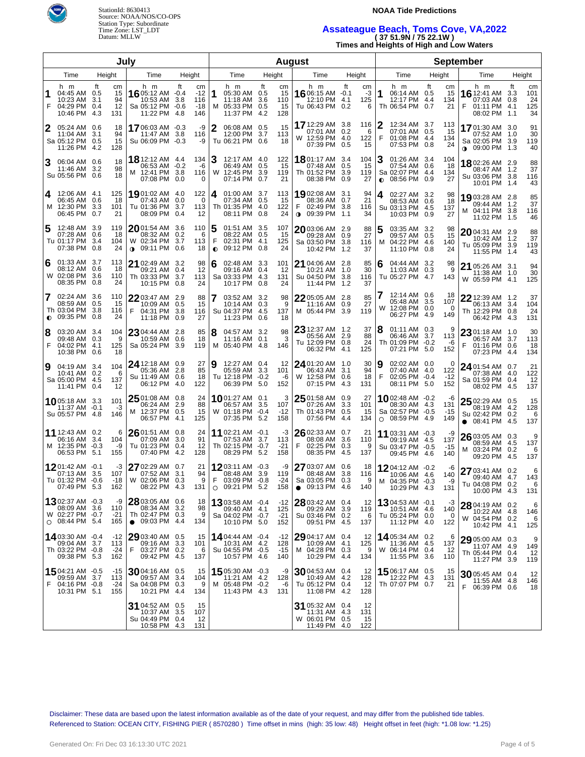

StationId: 8630413 **NOAA Tide Predictions**  Source: NOAA/NOS/CO-OPS Station Type: Subordinate

# Time Zone: LST\_LDT **Assateague Beach, Toms Cove, VA,2022**  Datum: MLLW **( 37 51.9N / 75 22.1W )**

**Times and Heights of High and Low Waters** 

|                |                                                                                    |                          | July                        |                                                                           | <b>August</b>     |                                    |                     |                                                                              |                   |                              |           |                                                                                |                   | <b>September</b>       |           |                                                                               |             |                           |           |                                                                        |                   |                              |  |      |  |        |
|----------------|------------------------------------------------------------------------------------|--------------------------|-----------------------------|---------------------------------------------------------------------------|-------------------|------------------------------------|---------------------|------------------------------------------------------------------------------|-------------------|------------------------------|-----------|--------------------------------------------------------------------------------|-------------------|------------------------|-----------|-------------------------------------------------------------------------------|-------------|---------------------------|-----------|------------------------------------------------------------------------|-------------------|------------------------------|--|------|--|--------|
| Time<br>Height |                                                                                    |                          |                             | Time                                                                      | Height            |                                    |                     |                                                                              |                   |                              |           | Time                                                                           |                   | Height                 |           | Time                                                                          |             | Height                    |           | Time                                                                   |                   | Height                       |  | Time |  | Height |
| 1<br>F         | h m<br>04:45 AM 0.5<br>10:23 AM<br>04:29 PM<br>10:46 PM                            | ft<br>3.1<br>0.4<br>-4.3 | cm<br>15<br>94<br>12<br>131 | h m<br>16 05:12 AM -0.4<br>10:53 AM<br>Sa 05:12 PM -0.6<br>11:22 PM       | ft<br>3.8<br>-4.8 | cm<br>$-12$<br>116<br>$-18$<br>146 | 1<br>м              | h m<br>05:30 AM 0.5<br>11:18 AM<br>05:33 PM 0.5<br>11:37 PM                  | ft<br>3.6<br>-4.2 | cm<br>15<br>110<br>15<br>128 |           | h m<br>16 06:15 AM -0.1<br>12:10 PM 4.1<br>Tu 06:43 PM 0.2                     | ft                | cm<br>-3<br>125<br>6   | 1         | h m<br>06:14 AM 0.5<br>12:17 PM<br>Th 06:54 PM 0.7                            | ft<br>-4.4  | cm<br>15<br>134<br>21     | F         | h m<br><b>16</b> 12:41 AM 3.3<br>07:03 AM<br>01:11 PM<br>08:02 PM 1.1  | ft<br>0.8<br>-4.1 | cm<br>101<br>24<br>125<br>34 |  |      |  |        |
| 2              | 05:24 AM 0.6<br>11:04 AM<br>Sa 05:12 PM 0.5<br>11:26 PM 4.2                        | 3.1                      | 18<br>94<br>15<br>128       | 1706:03 AM -0.3<br>11:47 AM 3.8<br>Su 06:09 PM -0.3                       |                   | -9<br>116<br>-9                    | 2                   | 06:08 AM 0.5<br>12:00 PM<br>Tu 06:21 PM 0.6                                  | 3.7               | 15<br>113<br>18              |           | 17 12:29 AM 3.8<br>07:01 AM 0.2<br>W 12:59 PM 4.0<br>07:39 PM                  | 0.5               | 116<br>6<br>122<br>15  | 2<br>F    | 12:34 AM 3.7<br>07:01 AM 0.5<br>01:08 PM 4.4<br>07:53 PM                      | 0.8         | 113<br>15<br>134<br>24    |           | 1701:30 AM 3.0<br>07:52 AM<br>Sa 02:05 PM 3.9<br><b>↑ 09:00 PM</b>     | 1.0<br>- 1.3      | 91<br>30<br>119<br>40        |  |      |  |        |
| 3              | 06:04 AM 0.6<br>11:46 AM 3.2<br>Su 05:56 PM 0.6                                    |                          | 18<br>98<br>18              | <b>18</b> 12:12 AM 4.4<br>06:53 AM -0.2<br>M 12:41 PM 3.8<br>07:08 PM 0.0 |                   | 134<br>-6<br>116<br>0              | 3<br>W              | 12:17 AM 4.0<br>06:49 AM 0.5<br>12:45 PM 3.9<br>07:14 PM                     | 0.7               | 122<br>15<br>119<br>21       |           | 1801:17 AM 3.4<br>07:48 AM<br>Th 01:52 PM<br>08:38 PM                          | 0.5<br>3.9<br>0.9 | 104<br>15<br>119<br>27 | $\bullet$ | 01:26 AM 3.4<br>07:54 AM 0.6<br>Sa 02:07 PM 4.4<br>08:56 PM                   | 0.9         | 104<br>18<br>134<br>27    |           | 1802:26 AM 2.9<br>08:47 AM 1.2<br>Su 03:06 PM<br>10:01 PM 1.4          | -3.8              | 88<br>37<br>116<br>43        |  |      |  |        |
| 4<br>м         | 12:06 AM 4.1<br>06:45 AM 0.6<br>12:30 PM<br>06:45 PM                               | 3.3<br>0.7               | 125<br>18<br>101<br>21      | 19 01:02 AM 4.0<br>07:43 AM<br>Tu 01:36 PM<br>08:09 PM                    | 0.0<br>3.7<br>0.4 | 122<br>0<br>113<br>12              | 4                   | 01:00 AM 3.7<br>07:34 AM 0.5<br>Th 01:35 PM 4.0<br>08:11 PM 0.8              |                   | 113<br>15<br>122<br>24       |           | 1902:08 AM 3.1<br>08:36 AM 0.7<br>02:49 PM<br><b>⊕</b> 09:39 PM                | 3.8<br>1.1        | 94<br>21<br>116<br>34  | 4         | 02:27 AM 3.2<br>08:53 AM 0.6<br>Su 03:13 PM<br>10:03 PM 0.9                   | - 4.5       | 98<br>18<br>137<br>27     |           | 1903:28 AM 2.8<br>09:44 AM 1.2<br>M 04:11 PM<br>11:02 PM 1.5           | 3.8               | 85<br>37<br>116<br>46        |  |      |  |        |
| 5              | 12:48 AM 3.9<br>07:28 AM<br>Tu 01:17 PM<br>07:38 PM                                | 0.6<br>3.4<br>0.8        | 119<br>18<br>104<br>24      | 2001:54 AM 3.6<br>08:32 AM<br>W 02:34 PM<br>$0.09:11 \text{ PM}$          | 0.2<br>3.7<br>0.6 | 110<br>6<br>113<br>18              | 5<br>F<br>$\bullet$ | 01:51 AM 3.5<br>08:22 AM 0.5<br>02:31 PM 4.1<br>09:12 PM 0.8                 |                   | 107<br>-15<br>125<br>24      |           | $20$ 03:06 AM 2.9<br>09:28 AM 0.9<br>Sa 03:50 PM 3.8<br>10:42 PM 1.2           |                   | 88<br>27<br>116<br>37  | 5<br>м    | 03:35 AM 3.2<br>09:57 AM 0.5<br>04:22 PM<br>11:10 PM 0.8                      | -4.6        | 98<br>15<br>140<br>24     |           | $2004:31$ AM 2.9<br>10:42 AM<br>Tu 05:09 PM<br>11:55 PM                | 1.2<br>3.9<br>1.4 | 88<br>37<br>119<br>43        |  |      |  |        |
| 6<br>w         | 01:33 AM 3.7<br>08:12 AM<br>02:08 PM<br>08:35 PM                                   | 0.6<br>3.6<br>0.8        | 113<br>18<br>110<br>24      | 21 02:49 AM 3.2<br>09:21 AM 0.4<br>Th 03:33 PM 3.7<br>10:15 PM 0.8        |                   | 98<br>12<br>113<br>24              | 6                   | 02:48 AM 3.3<br>09:16 AM 0.4<br>Sa 03:33 PM 4.3<br>10:17 PM 0.8              |                   | 101<br>12<br>131<br>24       |           | 21 04:06 AM 2.8<br>10:21 AM 1.0<br>Su 04:50 PM 3.8<br>11:44 PM 1.2             |                   | 85<br>30<br>116<br>37  | 6         | 04:44 AM 3.2<br>11:03 AM<br>Tu 05:27 PM                                       | 0.3<br>-4.7 | 98<br>9<br>143            |           | 21 05:26 AM 3.1<br>11:38 AM 1.0<br>W 05:59 PM 4.1                      |                   | 94<br>30<br>125              |  |      |  |        |
| 7              | 02:24 AM 3.6<br>08:59 AM<br>Th 03:04 PM<br>$\bullet$ 09:35 PM                      | 0.5<br>3.8<br>0.8        | 110<br>15<br>116<br>24      | 22 03:47 AM 2.9<br>10:09 AM 0.5<br>F<br>04:31 PM<br>11:18 PM 0.9          | -3.8              | 88<br>15<br>116<br>27              | 7                   | 03:52 AM 3.2<br>10:14 AM 0.3<br>Su 04:37 PM 4.5<br>11:23 PM 0.6              |                   | 98<br>9<br>137<br>18         |           | 2205:05 AM 2.8<br>11:16 AM 0.9<br>M 05:44 PM 3.9                               |                   | 85<br>27<br>119        |           | 12:14 AM 0.6<br>05:48 AM 3.5<br>W 12:08 PM 0.0<br>06:27 PM 4.9                |             | 18<br>107<br>0<br>149     |           | $22$ 12:39 AM 1.2<br>06:13 AM 3.4<br>Th 12:29 PM 0.8<br>06:42 PM       | 4.3               | 37<br>104<br>24<br>131       |  |      |  |        |
| 8<br>F         | 03:20 AM 3.4<br>09:48 AM 0.3<br>04:02 PM 4.1<br>10:38 PM 0.6                       |                          | 104<br>9<br>125<br>18       | 23 04:44 AM 2.8<br>10:59 AM<br>Sa 05:24 PM                                | 0.6<br>3.9        | 85<br>18<br>119                    | 8<br>M              | 04:57 AM 3.2<br>$11:16$ AM 0.1<br>05:40 PM 4.8                               |                   | 98<br>3<br>146               |           | $23$ 12:37 AM $\,$ 1.2 $\,$<br>05:56 AM 2.9<br>Tu 12:09 PM 0.8<br>06:32 PM 4.1 |                   | 37<br>88<br>24<br>125  | 8         | 01:11 AM 0.3<br>06:46 AM 3.7<br>Th 01:09 PM -0.2<br>07:21 PM 5.0              |             | 9<br>113<br>-6<br>152     | F         | $2301:18$ AM $1.0$<br>06:57 AM 3.7<br>01:16 PM<br>07:23 PM             | 0.6<br>4.4        | 30<br>113<br>18<br>134       |  |      |  |        |
| 9              | 04:19 AM 3.4<br>10:41 AM 0.2<br>Sa 05:00 PM 4.5<br>11:41 PM 0.4                    |                          | 104<br>6<br>137<br>12       | 24 12:18 AM 0.9<br>05:36 AM 2.8<br>Su 11:49 AM 0.6<br>06:12 PM 4.0        |                   | 27<br>85<br>18<br>122              | 9                   | 12:27 AM 0.4<br>05:59 AM 3.3<br>Tu 12:18 PM -0.2<br>06:39 PM 5.0             |                   | 12<br>101<br>-6<br>152       |           | 24 01:20 AM 1.0<br>06:43 AM 3.1<br>W 12:58 PM<br>07:15 PM                      | 0.6<br>-4.3       | 30<br>94<br>18<br>131  | 9<br>F    | 02:02 AM 0.0<br>07:40 AM 4.0<br>02:05 PM -0.4<br>08:11 PM 5.0                 |             | 0<br>122<br>$-12$<br>152  |           | $24$ 01:54 AM $\,$ 0.7 $\,$<br>07:38 AM 4.0<br>Sa 01:59 PM<br>08:02 PM | 0.4<br>- 4.5      | 21<br>122<br>12<br>137       |  |      |  |        |
|                | 1005:18 AM 3.3<br>11:37 AM<br>Su 05:57 PM 4.8                                      | $-0.1$                   | 101<br>$-3$<br>146          | 25 01:08 AM 0.8<br>06:24 AM<br>M 12:37 PM 0.5<br>06:57 PM                 | 2.9<br>4.1        | 24<br>88<br>15<br>125              |                     | <b>10</b> 01:27 AM 0.1<br>06:57 AM 3.5<br>W 01:18 PM -0.4<br>07:35 PM 5.2    |                   | 3<br>107<br>$-12$<br>158     |           | $2501:58$ AM 0.9<br>07:26 AM<br>Th 01:43 PM<br>07:56 PM 4.4                    | 3.3<br>0.5        | 27<br>101<br>15<br>134 | $\circ$   | <b>10</b> 02:48 AM $-0.2$<br>08:30 AM 4.3<br>Sa 02:57 PM -0.5<br>08:59 PM 4.9 |             | -6<br>131<br>$-15$<br>149 | $\bullet$ | $2502:29$ AM 0.5<br>08:19 AM 4.2<br>Su 02:42 PM<br>08:41 PM 4.5        | 0.2               | 15<br>128<br>6<br>137        |  |      |  |        |
|                | 11 12:43 AM 0.2<br>06:16 AM<br>M 12:35 PM -0.3<br>06:53 PM 5.1                     | 3.4                      | 6<br>104<br>-9<br>155       | 26 01:51 AM 0.8<br>07:09 AM<br>Tu 01:23 PM 0.4<br>07:40 PM                | 3.0<br>4.2        | 24<br>91<br>12<br>128              |                     | 11 02:21 AM -0.1<br>07:53 AM 3.7<br>Th 02:15 PM -0.7<br>08:29 PM 5.2         |                   | -3<br>113<br>$-21$<br>158    | F         | $2602:33$ AM 0.7<br>08:08 AM 3.6<br>02:25 PM 0.3<br>08:35 PM 4.5               |                   | 21<br>110<br>9<br>137  |           | 11 03:31 AM -0.3<br>09:19 AM 4.5<br>Su 03:47 PM -0.5<br>09:45 PM 4.6          |             | -9<br>137<br>-15<br>140   |           | 26 03:05 AM 0.3<br>08:59 AM<br>M 03:24 PM<br>09:20 PM 4.5              | -4.5<br>0.2       | 9<br>137<br>6<br>137         |  |      |  |        |
|                | <b>12</b> 01:42 AM $-0.1$<br>07:13 AM 3.5<br>Tu 01:32 PM -0.6<br>07:49 PM 5.3      |                          | -3<br>107<br>-18<br>162     | 27 02:29 AM 0.7<br>07:52 AM 3.1<br>W 02:06 PM 0.3<br>08:22 PM 4.3         |                   | 21<br>94<br>9<br>131               | F                   | <b>12</b> 03:11 AM -0.3<br>08:48 AM 3.9<br>03:09 PM -0.8<br>$O$ 09:21 PM 5.2 |                   | -9<br>119<br>-24<br>158      | $\bullet$ | 27 03:07 AM 0.6<br>08:48 AM 3.8<br>Sa 03:05 PM 0.3<br>09:13 PM 4.6             |                   | 18<br>116<br>9<br>140  |           | 1204:12 AM -0.2<br>10:06 AM 4.6<br>M 04:35 PM -0.3<br>10:29 PM 4.3            |             | -6<br>140<br>-9<br>131    |           | 27 03:41 AM 0.2<br>09:40 AM 4.7<br>Tu 04:08 PM 0.2<br>10:00 PM 4.3     |                   | 6<br>143<br>6<br>131         |  |      |  |        |
|                | <b>13</b> 02:37 AM -0.3<br>08:09 AM 3.6<br>W 02:27 PM -0.7<br>$\circ$ 08:44 PM 5.4 |                          | -9<br>110<br>$-21$<br>165   | 28 03:05 AM 0.6<br>08:34 AM<br>Th 02:47 PM 0.3<br>$\bullet$ 09:03 PM 4.4  | 3.2               | 18<br>98<br>9<br>134               |                     | 1303:58 AM -0.4<br>09:40 AM 4.1<br>Sa 04:02 PM -0.7<br>10:10 PM 5.0          |                   | $-12$<br>125<br>$-21$<br>152 |           | 28 03:42 AM 0.4<br>09:29 AM 3.9<br>Su 03:46 PM 0.2<br>09:51 PM 4.5             |                   | 12<br>119<br>6<br>137  |           | 1304:53 AM -0.1<br>10:51 AM 4.6<br>Tu 05:24 PM 0.0<br>11:12 PM 4.0            |             | -3<br>140<br>0<br>122     |           | 28 04:19 AM 0.2<br>10:22 AM 4.8<br>W 04:54 PM 0.2<br>10:42 PM 4.1      |                   | 6<br>146<br>6<br>125         |  |      |  |        |
|                | 14 03:30 AM -0.4<br>09:04 AM 3.7<br>Th 03:22 PM -0.8<br>09:38 PM 5.3               |                          | -12<br>113<br>-24<br>162    | 29 03:40 AM 0.5<br>09:16 AM<br>F.<br>03:27 PM 0.2<br>09:42 PM 4.5         | 3.3               | 15<br>101<br>6<br>137              |                     | 14 04:44 AM -0.4<br>10:31 AM 4.2<br>Su 04:55 PM -0.5<br>10:57 PM 4.6         |                   | $-12$<br>128<br>$-15$<br>140 |           | 29 04:17 AM 0.4<br>10:09 AM 4.1<br>M 04:28 PM 0.3<br>10:29 PM 4.4              |                   | 12<br>125<br>9<br>134  |           | 1405:34 AM 0.2<br>11:36 AM 4.5<br>W 06:14 PM 0.4<br>11:55 PM 3.6              |             | 6<br>137<br>12<br>110     |           | 29 05:00 AM 0.3<br>11:07 AM 4.9<br>Th 05:44 PM 0.4<br>11:27 PM 3.9     |                   | 9<br>149<br>12<br>119        |  |      |  |        |
| F              | 1504:21 AM -0.5<br>09:59 AM 3.7<br>04:16 PM -0.8<br>10:31 PM 5.1                   |                          | -15<br>113<br>-24<br>155    | 3004:16 AM 0.5<br>09:57 AM<br>Sa 04:08 PM 0.3<br>10:21 PM 4.4             | 3.4               | 15<br>104<br>9<br>134              |                     | 1505:30 AM -0.3<br>11:21 AM 4.2<br>M 05:48 PM -0.2<br>11:43 PM 4.3           |                   | -9<br>128<br>-6<br>131       |           | 3004:53 AM 0.4<br>10:49 AM 4.2<br>Tu 05:12 PM 0.4<br>11:08 PM 4.2              |                   | 12<br>128<br>12<br>128 |           | 1506:17 AM 0.5<br>12:22 PM 4.3<br>Th 07:07 PM 0.7                             |             | 15<br>131<br>21           |           | $30$ 05:45 AM 0.4<br>11:55 AM 4.8<br>F 06:39 PM 0.6                    |                   | 12<br>146<br>18              |  |      |  |        |
|                |                                                                                    |                          |                             | 31 04:52 AM 0.5<br>10:37 AM<br>Su 04:49 PM 0.4<br>10:58 PM 4.3            | 3.5               | 15<br>107<br>12<br>131             |                     |                                                                              |                   |                              |           | 31 05:32 AM 0.4<br>11:31 AM 4.3<br>W 06:01 PM 0.5<br>11:49 PM 4.0              |                   | 12<br>131<br>15<br>122 |           |                                                                               |             |                           |           |                                                                        |                   |                              |  |      |  |        |